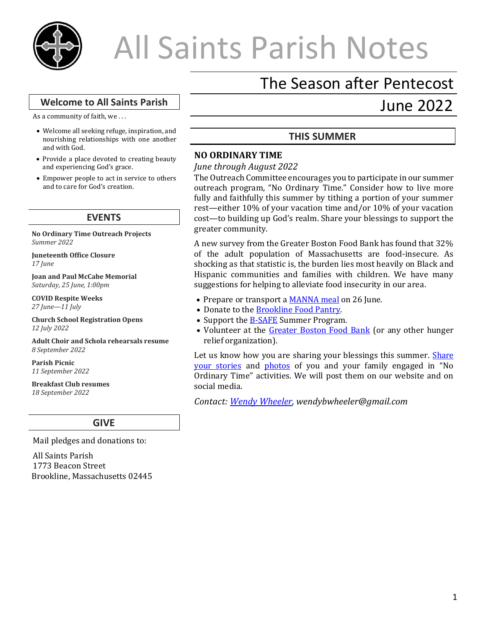

# All Saints Parish Notes

# The Season after Pentecost

June 2022

## **Welcome to All Saints Parish**

As a community of faith, we . . .

- Welcome all seeking refuge, inspiration, and nourishing relationships with one another and with God.
- Provide a place devoted to creating beauty and experiencing God's grace.
- Empower people to act in service to others and to care for God's creation.

#### **EVENTS**

**No Ordinary Time Outreach Projects** *Summer 2022*

**Juneteenth Office Closure** *17 June*

**Joan and Paul McCabe Memorial** *Saturday, 25 June, 1:00pm*

**COVID Respite Weeks** *27 June—11 July*

**Church School Registration Opens** *12 July 2022* 

**Adult Choir and Schola rehearsals resume** *8 September 2022*

**Parish Picnic** *11 September 2022* 

**Breakfast Club resumes** *18 September 2022* 

## **GIVE**

Mail pledges and donations to:

All Saints Parish 1773 Beacon Street Brookline, Massachusetts 02445

# **THIS SUMMER**

# **NO ORDINARY TIME**

#### *June through August 2022*

The Outreach Committee encourages you to participate in our summer outreach program, "No Ordinary Time." Consider how to live more fully and faithfully this summer by tithing a portion of your summer rest—either 10% of your vacation time and/or 10% of your vacation cost—to building up God's realm. Share your blessings to support the greater community.

A new survey from the Greater Boston Food Bank has found that 32% of the adult population of Massachusetts are food-insecure. As shocking as that statistic is, the burden lies most heavily on Black and Hispanic communities and families with children. We have many suggestions for helping to alleviate food insecurity in our area.

- Prepare or transport a **MANNA** meal on 26 June.
- Donate to the **Brookline Food Pantry**.
- Support the **B-SAFE** Summer Program.
- Volunteer at the [Greater Boston Food Bank](https://www.gbfb.org/get-involved/volunteer/) (or any other hunger relief organization).

Let us know how you are sharing your blessings this summer. Share [your stories](https://docs.google.com/document/d/1JElxfOZSCvQIXG-H6h6xSEmMtSCMhCf9VAkKqxUtlLc/edit?pli=1) and [photos](https://www.dropbox.com/request/sEY7rKgnLqUDEtGBWBNV) of you and your family engaged in "No Ordinary Time" activities. We will post them on our website and on social media.

*Contact: [Wendy Wheeler,](mailto:wendybwheeler@gmail.com?subject=No%20Ordinary%20Time) wendybwheeler@gmail.com*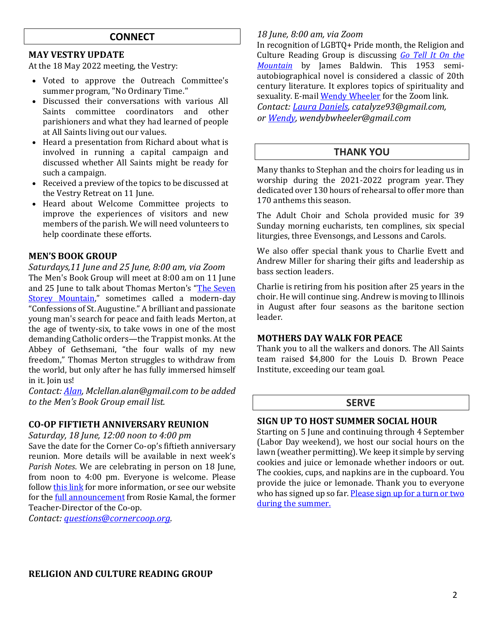# **CONNECT**

#### **MAY VESTRY UPDATE**

At the 18 May 2022 meeting, the Vestry:

- Voted to approve the Outreach Committee's summer program, "No Ordinary Time."
- Discussed their conversations with various All Saints committee coordinators and other parishioners and what they had learned of people at All Saints living out our values.
- Heard a presentation from Richard about what is involved in running a capital campaign and discussed whether All Saints might be ready for such a campaign.
- Received a preview of the topics to be discussed at the Vestry Retreat on 11 June.
- Heard about Welcome Committee projects to improve the experiences of visitors and new members of the parish. We will need volunteers to help coordinate these efforts.

#### **MEN'S BOOK GROUP**

#### *Saturdays,11 June and 25 June, 8:00 am, via Zoom*

The Men's Book Group will meet at 8:00 am on 11 June and 25 June to talk about Thomas Merton's "[The Seven](https://en.wikipedia.org/wiki/The_Seven_Storey_Mountain)  [Storey Mountain](https://en.wikipedia.org/wiki/The_Seven_Storey_Mountain)," sometimes called a modern-day "Confessions of St. Augustine." A brilliant and passionate young man's search for peace and faith leads Merton, at the age of twenty-six, to take vows in one of the most demanding Catholic orders—the Trappist monks. At the Abbey of Gethsemani, "the four walls of my new freedom," Thomas Merton struggles to withdraw from the world, but only after he has fully immersed himself in it. Join us!

*Contact[: Alan,](mailto:Mclellan.alan@gmail.com?subject=MBG) Mclellan.alan@gmail.com to be added to the Men's Book Group email list.*

# **CO-OP FIFTIETH ANNIVERSARY REUNION**

*Saturday, 18 June, 12:00 noon to 4:00 pm*

Save the date for the Corner Co-op's fiftieth anniversary reunion. More details will be available in next week's *Parish Notes*. We are celebrating in person on 18 June, from noon to 4:00 pm. Everyone is welcome. Please follo[w this link](https://cornercoop.org/events-2/) for more information, or see our website for the [full announcement](https://allsaintsbrookline.org/corner-co-op-nursery-school-50th-anniversary-reunion/) from Rosie Kamal, the former Teacher-Director of the Co-op.

*Contact: [questions@cornercoop.org.](mailto:questions@cornercoop.org)*

#### *18 June, 8:00 am, via Zoom*

In recognition of LGBTQ+ Pride month, the Religion and Culture Reading Group is discussing *Go [Tell](https://bookshop.org/books/go-tell-it-on-the-mountain-9780792796138/978037570187) It On the [Mountain](https://bookshop.org/books/go-tell-it-on-the-mountain-9780792796138/978037570187)* by James Baldwin. This 1953 semiautobiographical novel is considered a classic of 20th century literature. It explores topics of spirituality and sexuality. E-mail [Wendy Wheeler](mailto:wendybwheeler@gmail.com?subject=Religion%20and%20Culture%20BG) for the Zoom link. *Contact[: Laura Daniels,](mailto:catalyze93@gmail.com?subject=Religion%20and%20Culture%20Book%20Group) catalyze93@gmail.com, o[r Wendy,](mailto:wendybwheeler@gmail.com?subject=R+L%20Book%20Group) wendybwheeler@gmail.com*

# **THANK YOU**

Many thanks to Stephan and the choirs for leading us in worship during the 2021-2022 program year. They dedicated over 130 hours of rehearsal to offer more than 170 anthems this season.

The Adult Choir and Schola provided music for 39 Sunday morning eucharists, ten complines, six special liturgies, three Evensongs, and Lessons and Carols.

We also offer special thank yous to Charlie Evett and Andrew Miller for sharing their gifts and leadership as bass section leaders.

Charlie is retiring from his position after 25 years in the choir. He will continue sing. Andrew is moving to Illinois in August after four seasons as the baritone section leader.

# **MOTHERS DAY WALK FOR PEACE**

Thank you to all the walkers and donors. The All Saints team raised \$4,800 for the Louis D. Brown Peace Institute, exceeding our team goal.

# **SERVE**

## **SIGN UP TO HOST SUMMER SOCIAL HOUR**

Starting on 5 June and continuing through 4 September (Labor Day weekend), we host our social hours on the lawn (weather permitting). We keep it simple by serving cookies and juice or lemonade whether indoors or out. The cookies, cups, and napkins are in the cupboard. You provide the juice or lemonade. Thank you to everyone who has signed up so far. Please sign up for a turn or two [during the summer.](https://docs.google.com/document/d/15pb8mSvwu8knVf72nZpw3r5VldLXg64inuHW6fpAtJY/edit)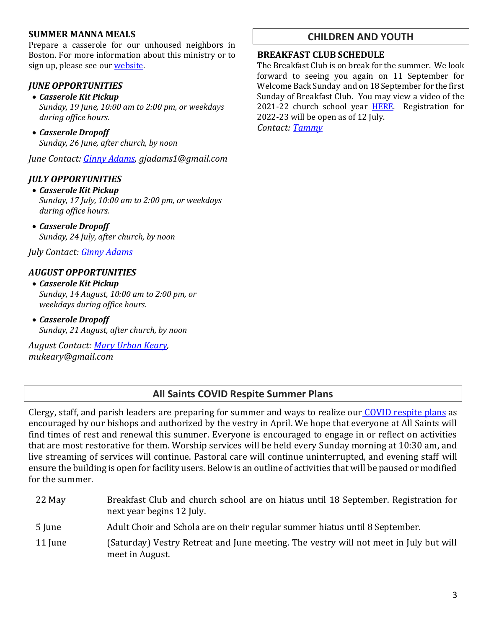# **SUMMER MANNA MEALS**

Prepare a casserole for our unhoused neighbors in Boston. For more information about this ministry or to sign up, please see our [website.](https://allsaintsbrookline.org/help-prepare-manna-meal/)

# *JUNE OPPORTUNITIES*

• *Casserole Kit Pickup*

*Sunday, 19 June, 10:00 am to 2:00 pm, or weekdays during office hours.*

• *Casserole Dropoff Sunday, 26 June, after church, by noon*

*June Contact: [Ginny Adams,](mailto:gjadams1@gmail.com?subject=MANNA) gjadams1@gmail.com*

# *JULY OPPORTUNITIES*

#### • *Casserole Kit Pickup*

*Sunday, 17 July, 10:00 am to 2:00 pm, or weekdays during office hours.*

• *Casserole Dropoff Sunday, 24 July, after church, by noon*

*July Contact: [Ginny Adams](mailto:gjadams1@gmail.com?subject=MANNA)*

# *AUGUST OPPORTUNITIES*

- *Casserole Kit Pickup Sunday, 14 August, 10:00 am to 2:00 pm, or weekdays during office hours.*
- *Casserole Dropoff Sunday, 21 August, after church, by noon*

*August Contact: [Mary Urban Keary,](mailto:mukeary@gmail.com?subject=MANNA) mukeary@gmail.com*

# **CHILDREN AND YOUTH**

#### **BREAKFAST CLUB SCHEDULE**

The Breakfast Club is on break for the summer. We look forward to seeing you again on 11 September for Welcome Back Sunday and on 18 September for the first Sunday of Breakfast Club. You may view a video of the 2021-22 church school year [HERE.](https://drive.google.com/file/d/1NEwYfhGjlx8jxKW3PctWKcaamH94XCcy/view?usp=sharing) Registration for 2022-23 will be open as of 12 July.

*Contact[: Tammy](mailto:familyminister@allsaintsbrookline.org)*

# **All Saints COVID Respite Summer Plans**

Clergy, staff, and parish leaders are preparing for summer and ways to realize our [COVID respite plans](https://allsaintsbrookline.org/covid-respite-plan-2022/) as encouraged by our bishops and authorized by the vestry in April. We hope that everyone at All Saints will find times of rest and renewal this summer. Everyone is encouraged to engage in or reflect on activities that are most restorative for them. Worship services will be held every Sunday morning at 10:30 am, and live streaming of services will continue. Pastoral care will continue uninterrupted, and evening staff will ensure the building is open for facility users. Below is an outline of activities that will be paused or modified for the summer.

22 May Breakfast Club and church school are on hiatus until 18 September. Registration for next year begins 12 July. 5 June Adult Choir and Schola are on their regular summer hiatus until 8 September. 11 June (Saturday) Vestry Retreat and June meeting. The vestry will not meet in July but will meet in August.